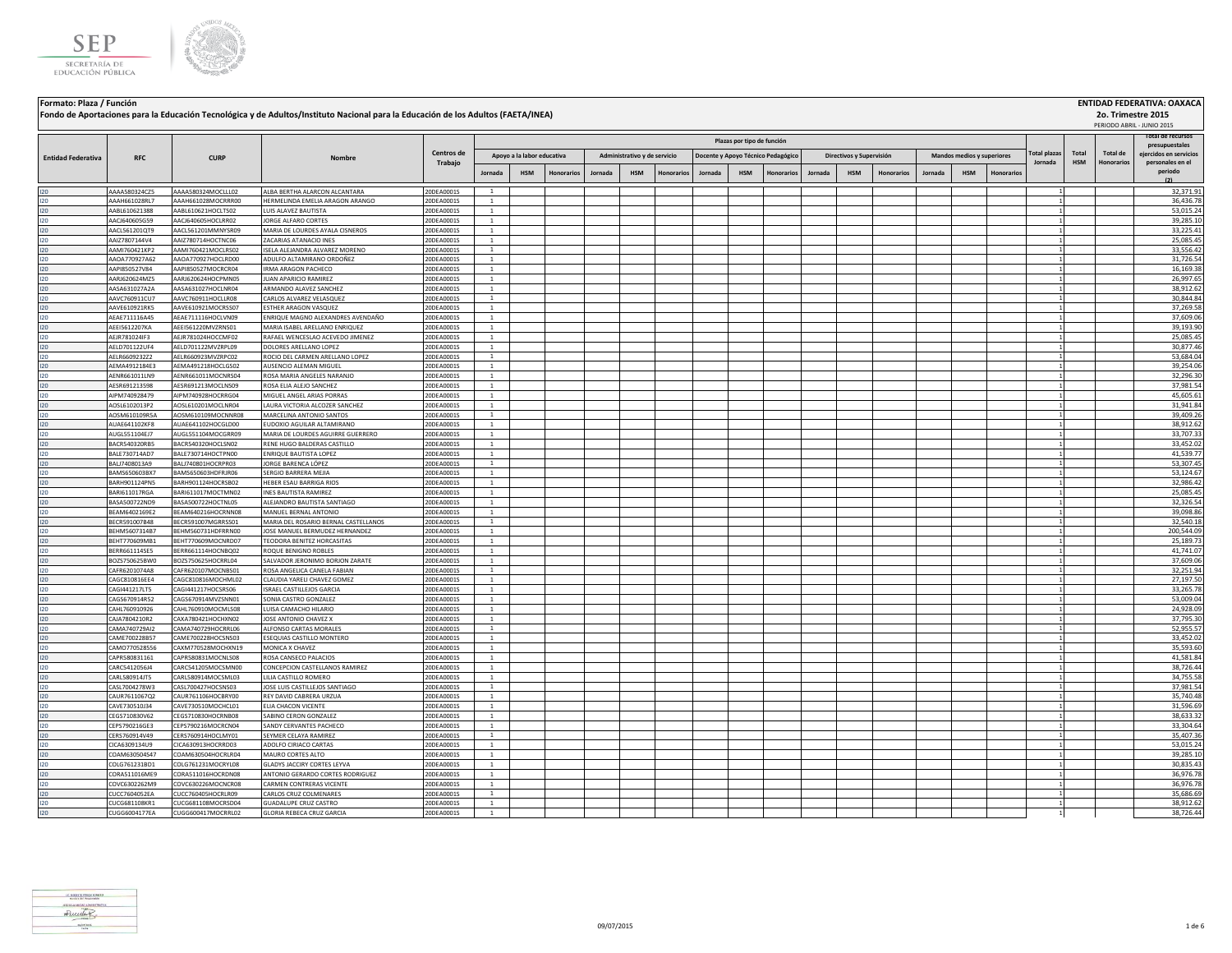



**Fondo de Aportaciones para la Educación Tecnológica y de Adultos/Instituto Nacional para la Educación de los Adultos (FAETA/INEA)**

# **Jornada HSM Honorarios Jornada HSM Honorarios Jornada HSM Honorarios Jornada HSM Honorarios Jornada HSM Honorarios** I20 AAAA580324CZ5 AAAA580324MOCLLL02 ALBA BERTHA ALARCON ALCANTARA 200EA0001S 1 3 32,371.91 32,371.91 32,371.91 I20 AAAH661028RL7 AAAH661028MOCRRR00 HERMELINDA EMELIA ARAGON ARANGO 20DEA0001S 1 1 36,436.78 I20 AABL610621388 AABL610621HOCLTS02 LUIS ALAVEZ BAUTISTA 20DEA0001S 1 1 53,015.24 I20 AACJ640605G59 AACJ640605HOCLRR02 JORGE ALFARO CORTES 20DEA0001S 1 1 39,285.10 I20 AACL561201QT9 AACL561201MMNYSR09 MARIA DE LOURDES AYALA CISNEROS 20DEA0001S 1 1 33,225.41 I20 AAIZ7807144V4 AAIZ780714HOCTNC06 ZACARIAS ATANACIO INES 20DEA0001S 1 1 25,085.45 I20 AAMI760421KP2 AAMI760421MOCLRS02 ISELA ALEJANDRA ALVAREZ MORENO 20DEA0001S 1 1 33,556.42 I20 AAOA770927A62 AAOA770927HOCLRD00 |ADULFO ALTAMIRANO ORDOÑEZ 20DEA0001S 1 | | | | | | | | | | | | | | | | | I20 AAPI850527V84 AAPI850527MOCRCR04 IRMA ARAGON PACHECO 20DEA0001S 1 1 16,169.38 I20 AARJ620624MZ5 AARJ620624HOCPMN05 JUAN APARICIO RAMIREZ 20DEA0001S 1 1 26,997.65 I20 AASA631027A2A AASA631027HOCLNR04 ARMANDO ALAVEZ SANCHEZ 20DEA0001S 1 1 38,912.62 I20 AAVC760911CU7 AAVC760911HOCLLR08 CARLOS ALVAREZ VELASQUEZ 20DEA0001S 1 1 30,844.84 I20 AAVE610921RK5 AAVE610921MOCRSS07 ESTHER ARAGON VASQUEZ 20DEA0001S 1 1 37,269.58 I20 AEAE711116A45 AEAE711116HOCLVN09 ENRIQUE MAGNO ALEXANDRES AVENDAÑO 20DEA0001S 1 1 37,609.06 I20 AEEI5612207KA AEEI561220MVZRNS01 MARIA ISABEL ARELLANO ENRIQUEZ 20DEA0001S 1 1 39,193.90 I20 AEJR781024IF3 AEJR781024HOCCMF02 RAFAEL WENCESLAO ACEVEDO JIMENEZ 20DEA0001S 1 1 25,085.45 I20 AELD701122UF4 AELD701122MVZRPL09 DOLORES ARELLANO LOPEZ 20DEA0001S 1 1 30,877.46 I20 AELR6609232Z2 AELR660923MVZRPC02 ROCIO DEL CARMEN ARELLANO LOPEZ 20DEA0001S 1 1 53,684.04 I20 AEMA4912184E3 AEMA491218HOCLGS02 AUSENCIO ALEMAN MIGUEL 20DEA0001S 1 1 39,254.06 I20 AENR661011LN9 AENR661011MOCNRS04 ROSA MARIA ANGELES NARANJO 20DEA0001S 1 1 32,296.30 I20 AESR691213598 AESR691213MOCLNS09 ROSA ELIA ALEJO SANCHEZ 20DEA0001S 1 1 37,981.54 I20 AIPM740928479 AIPM740928HOCRRG04 MIGUEL ANGEL ARIAS PORRAS 20DEA0001S 1 1 45,605.61 I20 AOSL6102013P2 AOSL610201MOCLNR04 LAURA VICTORIA ALCOZER SANCHEZ 20DEA0001S 1 1 3 31,941.84 31,941.84 31,941.84 31,941.84 I20 AOSM610109R5A AOSM610109MOCNNR08 MARCELINA ANTONIO SANTOS 20DEA0001S 1 1 39,409.26 I20 AUAE641102KF8 AUAE641102HOCGLD00 EUDOXIO AGUILAR ALTAMIRANO 20DEA0001S 1 1 38,912.62 I20 AUGL551104EJ7 AUGL551104MOCGRR09 MARIA DE LOURDES AGUIRRE GUERRERO 20DEA0001S 1 1 33,707.33 I20 BACR540320RB5 BACR540320HOCLSN02 RENE HUGO BALDERAS CASTILLO 20DEA0001S 1 | | | | | | | | | | | | | | | | | I20 BALE730714AD7 BALE730714HOCTPN00 ENRIQUE BAUTISTA LOPEZ 20DEA0001S 1 1 41,539.77 I20 BALJ7408013A9 BALJ740801HOCRPR03 JORGE BARENCA LÓPEZ 20DEA0001S 1 | | | | | | | | | | | | | | | | 1 | 53,307.45 I20 BAMS650603BX7 BAMS650603HDFRJR06 SERGIO BARRERA MEJIA 20DEA0001S 1 1 53,124.67 I20 BARH901124PN5 BARH901124HOCRSB02 HEBER.ESAUBARRIGA RIOS 20DEA0001S 1 | | | | | | | | | | | | | | | | | 32,986.42 I20 BARI611017RGA BARI611017MOCTMN02 INES BAUTISTA RAMIREZ 20DEA0001S 1 1 25,085.45 I20 BASA500722ND9 BASA500722HOCTNL05 ALEJANDRO BAUTISTA SANTIAGO 20DEA0001S 1 | | | | | | | | | | | | | | | | | I20 BEAM6402169E2 BEAM640216HOCRNN08 MANUEL BERNAL ANTONIO 20DEA0001S 1 1 3 39,098.86 20DEA0001S 1 3 39,098.86 I20 BECR591007B48 BECR591007MGRRSS01 MARIA DEL ROSARIO BERNAL CASTELLANOS 20DEA0001S 1 1 32,540.18 I20 BEHM5607314B7 BEHM560731HDFRRN00 JOSE MANUEL BERMUDEZ HERNANDEZ 20DEA0001S 1 1 200,544.09 I20 BEHT770609MB1 BEHT770609MOCNRD07 TEODORA BENITEZ HORCASITAS 20DEA0001S 1 1 25,189.73 I20 BERR661114SE5 BERR661114HOCNBQ02 ROQUE BENIGNO ROBLES 20DEA0001S 1 1 41,741.07 I20 BOZS750625BW0 BOZS750625HOCRRL04 SALVADOR JERONIMO BORJON ZARATE 20DEA0001S 1 1 37,609.06 I20 CAFR6201074A8 CAFR620107MOCNBS01 ROSA ANGELICA CANELA FABIAN 20DEA0001S 1 1 1 3 32,251.94 32,251.94 32,251.94 I20 CAGC810816EE4 CAGC810816MOCHML02 CLAUDIA YARELI CHAVEZ GOMEZ 20DEA0001S 1 1 27,197.50 I20 CAGI441217LT5 CAGI441217HOCSRS06 ISRAEL CASTILLEJOS GARCIA 20DEA0001S 1 1 33,265.78 I20 CAGS670914R52 CAGS670914MVZSNN01 SONIA CASTRO GONZALEZ 20DEA0001S 1 1 53,009.04 I20 CAHL760910926 CAHL760910MOCMLS08 LUISA CAMACHO HILARIO 20DEA0001S 1 2 2001 20DEA0001S 1 2 24,928.09 20 200 I20 CAJA7804210R2 CAXA780421HOCHXN02 JOSE ANTONIO CHAVEZ X 20DEA0001S 1 1 37,795.30 I20 CAMA740729AI2 CAMA740729HOCRRL06 ALFONSO CARTAS MORALES 20DEA0001S 1 | | | | | | | | | | | | | | | | | 52,955.57 I20 CAME700228B57 CAME700228HOCSNS03 ESEQUIAS CASTILLO MONTERO 20DEA0001S 1 1 33,452.02 I20 CAMO770528556 CAXM770528MOCHXN19 MONICA X CHAVEZ 20DEA0001S 1 1 1 1 3 35,593.60 20DEA0001S 1 20DEA0001S 1 3 35,593.60 20DEA0001S 1 20DEA0001S 20DEA0001S 20DEA0001S 20DEA0001S 20DEA0001S 20DEA0001S 20DEA00015 20DEA00015 I20 CAPR580831161 CAPR580831MOCNLS08 ROSA CANSECO PALACIOS 20DEA0001S 1 1 41,581.84 I20 CARC5412056J4 CARC541205MOCSMN00 CONCEPCION CASTELLANOS RAMIREZ 20DEA0001S 1 1 38,726.44 I20 CARL580914JT5 CARL580914MOCSML03 LILIA CASTILLO ROMERO 20DEA0001S 1 1 34,755.58 I20 CASL7004278W3 CASL700427HOCSNS03 JOSE LUIS CASTILLEJOS SANTIAGO 20DEA0001S 1 1 37,981.54 I20 CAUR7611067Q2 CAUR761106HOCBRY00 REYDAVIDCABRERA URZUA 2000 2000EA0001S 1 | | | | | | | | | | | | | | | | | I20 CAVE730510J34 CAVE730510MOCHCL01 ELIACHACON VICENTE 20DEA0001S 1 1 1 1 1 1 1 1 1 1 1 1 1 1 1 31,596.69 31,596.69 I20 CEGS710830V62 CEGS710830HOCRNB08 SABINO CERON GONZALEZ 20DEA0001S 1 2 30,633.32 20DEA0001S 20DEA0001S 20DEA0001S 20DEA0001S 20DEA0001S 20DEA00015 20DEA00015 20DEA00015 20DEA00015 20DEA00015 20DEA00015 20DEA00015 20DEA0 I20 CEPS790216GE3 CEPS790216MOCRCN04 SANDY CERVANTES PACHECO 20DEA0001S 1 1 33,304.64 I20 CERS760914V49 CERS760914HOCLMY01 SEYMER CELAYA RAMIREZ 20DEA0001S 1 1 35,407.36 I20 CICA6309134U9 CICA630913HOCRRD03 |ADOLFO CIRIACO CARTAS | 20DEA0001S | 1 | | | | | | | | | | | | | | | | 53,015.24 I20 COAM630504S47 COAM630504HOCRLR04 MAURO CORTES ALTO 20DEA0001S 1 2 39,285.10 20DEA0001S 1 2 39,285.10 39,285.10 I20 COLG761231BD1 COLG761231MOCRYL08 GLADYSJACCIRY CORTES LEYVA 200EA0001S 1 | | | | | | | | | | | | | | | | 30,835.43 I20 CORA511016ME9 CORA511016HOCRDN08 ANTONIO GERARDO CORTES RODRIGUEZ 20DEA0001S 1 1 36,976.78 I20 COVC6302262M9 COVC630226MOCNCR08 CARMENCONTRERAS VICENTE 20DEA0001S 1 1 1 1 1 3 36,976.78 I20 CUCC7604052EA CUCC760405HOCRLR09 CARLOS CRUZ COLMENARES 20DEA0001S 1 2 35,686.69 20DEA0001S 20DEA0001S 20DEA0001S 20DEA00015 20DEA00015 20DEA00015 20DEA00015 20DEA00015 20DEA00015 20DEA00015 20DEA00015 20DEA00015 20DEA I20 CUCG681108KR1 CUCG681108MOCRSD04 GUADALUPE CRUZ CASTRO 200EA0001S 1 | | | | | | | | | | | | | | | | | 38,912.62 I20 CUGG600417TEA CUGG600417MOCRRL02 GLORIA REBECA CRUZ GARCIA 20DEA0001S 1 1 1 3 38,726.44 39,726.44 39,726.44 **Total HSM Total de Honorarios Administrativo y de servicio Docente y Apoyo Técnico Pedagógico Directivos y Supervisión Mandos medios y superiores Plazas por tipo de función Total plazas Jornada** PERIODO ABRIL - JUNIO 2015 **RFC CURP Nombre Entidad Federativa RFC CURP CURP CENTROS <b>CENTROS CONS Trabajo Total de recursos presupuestales ejercidos en servicios personales en el periodo (2) Apoyo a la labor educativa**



**Formato: Plaza / Función ENTIDAD FEDERATIVA: OAXACA**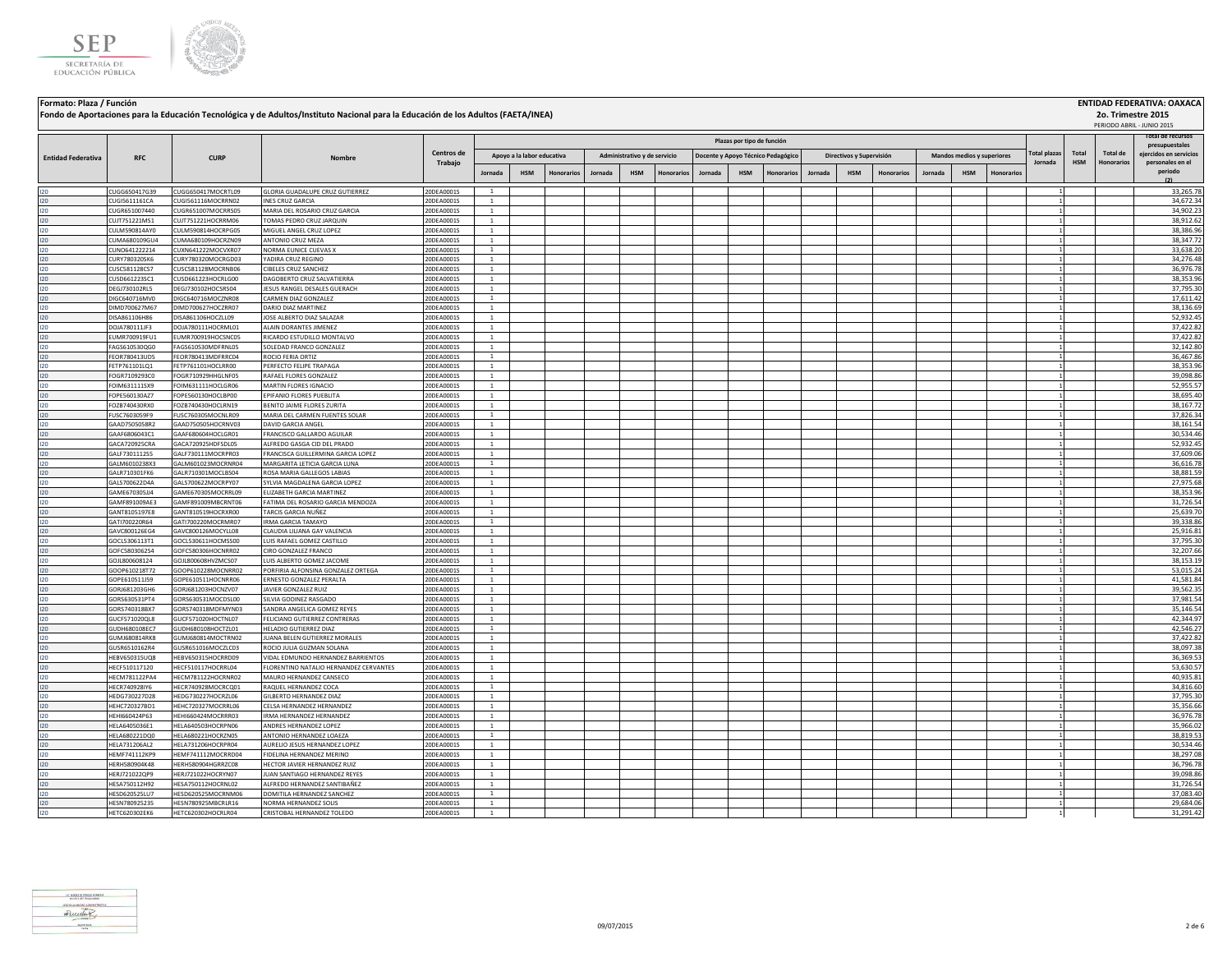



**Formato: Plaza / Función ENTIDAD FEDERATIVA: OAXACA**

**Fondo de Aportaciones para la Educación Tecnológica y de Adultos/Instituto Nacional para la Educación de los Adultos (FAETA/INEA)**

# **Jornada HSM Honorarios Jornada HSM Honorarios Jornada HSM Honorarios Jornada HSM Honorarios Jornada HSM Honorarios Total HSM Total de Honorarios Administrativo y de servicio Docente y Apoyo Técnico Pedagógico Directivos y Supervisión Mandos medios y superiores Plazas por tipo de función Total plazas Jornada** PERIODO ABRIL - JUNIO 2015 **RFC CURP Nombre Entidad Federativa RFC CURP CURP CENTROS <b>CENTROS CONS Trabajo Total de recursos presupuestales ejercidos en servicios personales en el periodo (2) Apoyo a la labor educativa** I20 CUGG650417G39 CUGG650417MOCRTL09 GLORIA GUADALUPE CRUZ GUTIERREZ 20DEA0001S 1 1 1 3 33,265.78 I20 CUGI5611161CA CUGI561116MOCRRN02 INES CRUZ GARCIA 20DEA0001S 1 1 34,672.34 I20 CUGR651007440 CUGR651007MOCRRS05 MARIA DEL ROSARIO CRUZ GARCIA 20DEA0001S 1 1 34,902.23 I20 CUJT751221MS1 CUJT751221HOCRRM06 TOMAS PEDRO CRUZ JARQUIN 20DEA0001S 1 | | | | | | | | | | | | | | | | | 38,912.62 I20 CULM590814AY0 CULM590814HOCRPG05 MIGUEL ANGEL CRUZ LOPEZ 20DEA0001S 1 1 38,386.96 I20 CUMA680109GU4 CUMA680109HOCRZN09 ANTONIO CRUZ MEZA 20DEA0001S 1 1 38,347.72 I20 CUNO641222214 CUXN641222MOCVXR07 NORMA EUNICE CUEVAS X 20DEA0001S 1 3 31,638.20 20DEA0001S 20DEA0001S 1 3 35,638.20 33,638.20 20DEA0001S 3 33,638.20 20 33,638.20 20 33,638.20 20 33,638.20 20 33,638.20 20 33,638.20 20 3 I20 CURY780320SK6 CURY780320MOCRGD03 YADIRACRUZ.REGINO 20DEA0001S 1 | | | | | | | | | | | | | | | | 1 | 34,276.48 I20 CUSC581128CS7 CUSC581128MOCRNB06 CIBELES CRUZ SANCHEZ 20DEA0001S 1 1 1 1 1 1 1 1 1 1 1 1 1 1 36,976.78 I20 CUSD661223SC1 CUSD661223HOCRLG00 DAGOBERTO CRUZ SALVATIERRA 20DEA0001S 1 1 38,353.96 I20 DEGJ730102RL5 DEGJ730102HOCSRS04 JESUS RANGEL DESALES GUERACH 20DEA0001S 1 1 37,795.30 I20 DIGC640716MV0 DIGC640716MOCZNR08 CARMEN DIAZ GONZALEZ 20DEA0001S 1 | | | | | | | | | | | | | | | | 17,511.42 I20 DIMD700627M67 DIMD700627HOCZRR07 DARIO DIAZ MARTINEZ 20DEA0001S 1 1 38,136.69 I20 DISA861106H86 DISA861106HOCZLL09 JOSE ALBERTO DIAZ SALAZAR 20DEA0001S 1 1 52,932.45 I20 DOJA780111JF3 DOJA780111HOCRML01 ALAIN DORANTES JIMENEZ 20DEA0001S 1 1 37,422.82 I20 EUMR700919FU1 EUMR700919HOCSNC05 RICARDO&ESTUDILLO MONTALVO 20DEA0001S 1 | | | | | | | | | | | | | | | | 37,422.82 I20 PAGS610530QG0 FAGS610530MDFRNL05 SOLEDAD FRANCO GONZALEZ 20DEA0001S 1 2 32,142.80 20DEA0001S 20DEA0001S 20 I20 FEOR780413UD5 FEOR780413MDFRRC04 ROCIO FERIA ORTIZ 20DEA0001S 1 | | | | | | | | | | | | | | | 1 | 36,467.86 I20 PETP761101LQ1 FETP761101HOCLRR00 PERFECTO FELIPE TRAPAGA 200EA0001S 1 | | | | | | | | | | | | | | | | 38,353.96 I20 FOGR7109293C0 FOGR710929HHGLNF05 RAFAELFLORES GONZALEZ 20DEA0001S 1 1 1 1 1 3 39,098.86 1 20DEA0001S 1 1 3 I20 FOIM631111SX9 FOIM631111HOCLGR06 |MARTIN FLORES IGNACIO 20DEA0001S | 1 | | | | | | | | | | | | | | | | 52,955.57 I20 FOPE560130AZ7 FOPE560130HOCLBP00 [EPIFANIO FLORES PUEBLITA 20DEA0001S 1 ] ] ] ] ] 20DEA0001S ] 20DEA0001S ] 20DEA0001S ] 20DEA0001S ] 20DEA0001S ] 20DEA0001S ] 20DEA0001S ] 20DEA00015 ] 20DEA00015 [ ] ] ] [ ] ] [ ] ] [ I20 FOZB740430RX0 FOZB740430HOCLRN19 BENITO JAIME FLORES ZURITA 20DEA0001S 1 1 38,167.72 I20 FUSC7603059F9 FUSC760305MOCNLR09 MARIA DEL CARMEN FUENTES SOLAR 20DEA0001S 1 1 37,826.34 I20 GAAD7505058R2 GAAD750505HOCRNV03 DAVID GARCIA ANGEL 20DEA0001S 1 1 38,161.54 I20 GAAF6806043C1 GAAF680604HOCLGR01 FRANCISCO GALLARDO AGUILAR 20DEA0001S 1 1 1 1 3 30,534.46 30,534.46 30,534.46 30,534.46 30,534.46 30,534.46 30,534.46 30,534.46 30,534.46 30,534.46 30,534.46 30,534.46 30,534.46 30,534. I20 GACA720925CRA GACA720925HDFSDL05 |ALFREDO GASGA CID DELPRADO 20DEA0001S | 1 | | | | | | | | | | | | | | | | 52,932.45 I20 GALF7301112S5 GALF730111MOCRPR03 FRANCISCA GUILLERMINA GARCIA LOPEZ 20DEA0001S 1 1 37,609.06 I20 GALM6010238X3 GALM601023MOCRNR04 MARGARITALETICIA GARCIA LUNA 20DEA0001S 1 | | | | | | | | | | | | | | | | | 36,516.78 I20 GALR710301FK6 GALR710301MOCLBS04 ROSAMARIA GALLEGOS LABIAS 20DEA0001S 1 | | | | | | | | | | | | | | | | 38,881.59 I20 GALS700622D4A GALS700622D4A GALS700622D4OCRPY07 SYLVIAMAGDALENA GARCIA LOPEZ 20DEA0001S 1 2 21,975.68 20DEA0001S 20 20DEA0001S 20DEA0001S 20 20 200 201 201 201 201 201 201 27,975.68 I20 GAME670305JJ4 GAME670305MOCRRL09 ELIZABETH GARCIA MARTINEZ 20DEA0001S 1 1 38,353.96 I20 GAMF891009AE3 GAMF891009MBCRNT06 FATIMA DEL ROSARIO GARCIA MENDOZA 20DEA0001S 1 1 31,726.54 I20 GANT8105197E8 GANT810519HOCRXR00 TARCIS GARCIA NUÑEZ 20DEA0001S 1 1 25,639.70 I20 GATI700220R64 GATI700220MOCRMR07 IRMA GARCIA TAMAYO 20DEA0001S 1 1 39,338.86 I20 GAVC800126EG4 GAVC800126MOCYLL08 CLAUDIA LILIANA GAY VALENCIA 20DEA0001S 1 2 20DEA0001S 1 2 25,916.81 20DEA0001S 20DEA0001S 20DEA0001S 20DEA00015 20DEA00015 20DEA00015 20DEA00015 20DEA00015 20DEA00015 20DEA00015 20DEA0 I20 GOCL5306113T1 GOCL530611HOCMSS00 LUIS RAFAEL GOMEZ CASTILLO 20DEA0001S 1 1 3 37,795.30 30 37,795.30 1 37,795.30 I20 GOFC5803062S4 GOFC580306HOCNRR02 CIRO GONZALEZ FRANCO 20DEA0001S 1 20DEA0001S 1 20 20DEA0001S 20DEA0001S 20 I20 GOJL800608124 GOJL800608HVZMCS07 LUIS ALBERTO GOMEZ JACOME 20DEA0001S 1 1 38,153.19 I20 GOOP610218T72 GOOP610228MOCNRR02 PORFIRIA ALFONSINA GONZALEZ ORTEGA 20DEA0001S 1 1 5 1 59,015.24 53,015.24 I20 GOPE610511J59 GOPE610511HOCNRR06 ERNESTO GONZALEZ PERALTA 20DEA0001S 1 1 41,581.84 I20 GORJ681203GH6 GORJ681203HOCNZV07 JAVIER GONZALEZ RUIZ 20DEA0001S 1 | | | | | | | | | | | | | | | | 1 | 39,562.35 I20 GORS630531PT4 GORS630531MOCDSL00 SILVIA GODINEZ RASGADO 20DEA0001S 1 1 37,981.54 I20 GORS740318BX7 GORS740318MDFMYN03 SANDRA ANGELICA GOMEZ REYES 20DEA0001S 1 1 35,146.54 I20 GUCF571020QL8 GUCF571020HOCTNL07 FELICIANO GUTIERREZ CONTRERAS 200EA0001S 1 | | | | | | | | | | | | | | | | I20 GUDH680108EC7 GUDH680108HOCTZL01 HELADIO GUTIERREZ DIAZ 2000 2000 2000EA0001S 1 2 1 1 2 1 2 2000 2000 1 42,546.27 I20 GUMJ680814RK8 GUMJ680814MOCTRN02 JUANA BELEN GUTIERREZ MORALES 20DEA0001S 1 1 37,422.82 I20 GUSR6510162R4 GUSR651016MOCZLC03 ROCIO JULIA GUZMAN SOLANA 20DEA0001S 1 1 1 3 30.09 30.09 30.09 30.097.38 I20 HEBV650315UQ8 HEBV650315HOCRRD09 VIDAL EDMUNDO HERNANDEZ BARRIENTOS 20DEA0001S 1 1 36,369.53 I20 HECF510117120 HECF510117HOCRRL04 FLORENTINO NATALIO HERNANDEZ CERVANTES 20DEA0001S 1 1 53,630.57 I20 HECM781122PA4 HECM781122HOCRNR02 MAURO HERNANDEZ CANSECO 20DEA0001S 1 1 40,935.81 I20 HECR740928IY6 HECR740928MOCRCQ01 RAQUELHERNANDEZ COCA 20DEA0001S 1 2 34,816.60 20DEA0001S 1 2 34,816.60 . I20 HEDG730227D28 HEDG730227HOCRZL06 GILBERTO HERNANDEZ DIAZ 20DEA0001S 1 1 37,795.30 I20 HEHC720327BD1 HEHC720327MOCRRL06 CELSA HERNANDEZ HERNANDEZ 20DEA0001S 1 1 1 1 3 35,356.66 2012 1 1 35,356.66 I20 HEHI660424P63 HEHI660424MOCRRR03 |IRMA HERNANDEZ | 20DEA0001S | 1 | | | | | | | | | | | | | | | | 36,976.78 I20 HELA6405036E1 HELA640503HOCRPN06 ANDRES HERNANDEZ LOPEZ 20DEA0001S 1 1 35,966.02 I20 HELA680221DQ0 HELA680221HOCRZN05 |ANTONIO HERNANDEZ LOAEZA 20DEA0001S 1 | | | | | | | | | | | | | | | | | 38,819.53 I20 HELA731206AL2 HELA731206HOCRPR04 AURELIO.IESUS HERNANDEZ LOPEZ 20DEA0001S 1 | | | | | | | | | | | | | | | | | 30,534.46 I20 HEMF741112KP9 HEMF741112MOCRRD04 FIDELINA HERNANDEZ MERINO 20DEA0001S 1 1 38,297.08 I20 HERH580904K48 HERH580904KGRRZC08 HECTOR JAVIER HERNANDEZ RUIZ 20DEA0001S 1 1 1 1 3 36,796.78 I20 HERJ721022QP9 HERJ721022HOCRYN07 JUAN SANTIAGO HERNANDEZ REYES 20DEA0001S 1 | | | | | | | | | | | | | | | | | 39,098.86 I20 HESA750112H92 HESA750112HOCRNL02 ALFREDO HERNANDEZ SANTIBAÑEZ 20DEA0001S 1 1 31,726.54 I20 HESD620525LU7 HESD620525MOCRNM06 DOMITILA HERNANDEZ SANCHEZ 20DEA0001S 1 1 37,083.40 I20 HESN780925235 HESN780925MBCRLR16 NORMA HERNANDEZ SOLIS 20DEA0001S 1 1 29,684.06 I20 HETC620302EK6 HETC620302HOCRLR04 CRISTOBAL HERNANDEZ TOLEDO 20DEA0001S 1 1 31,291.42

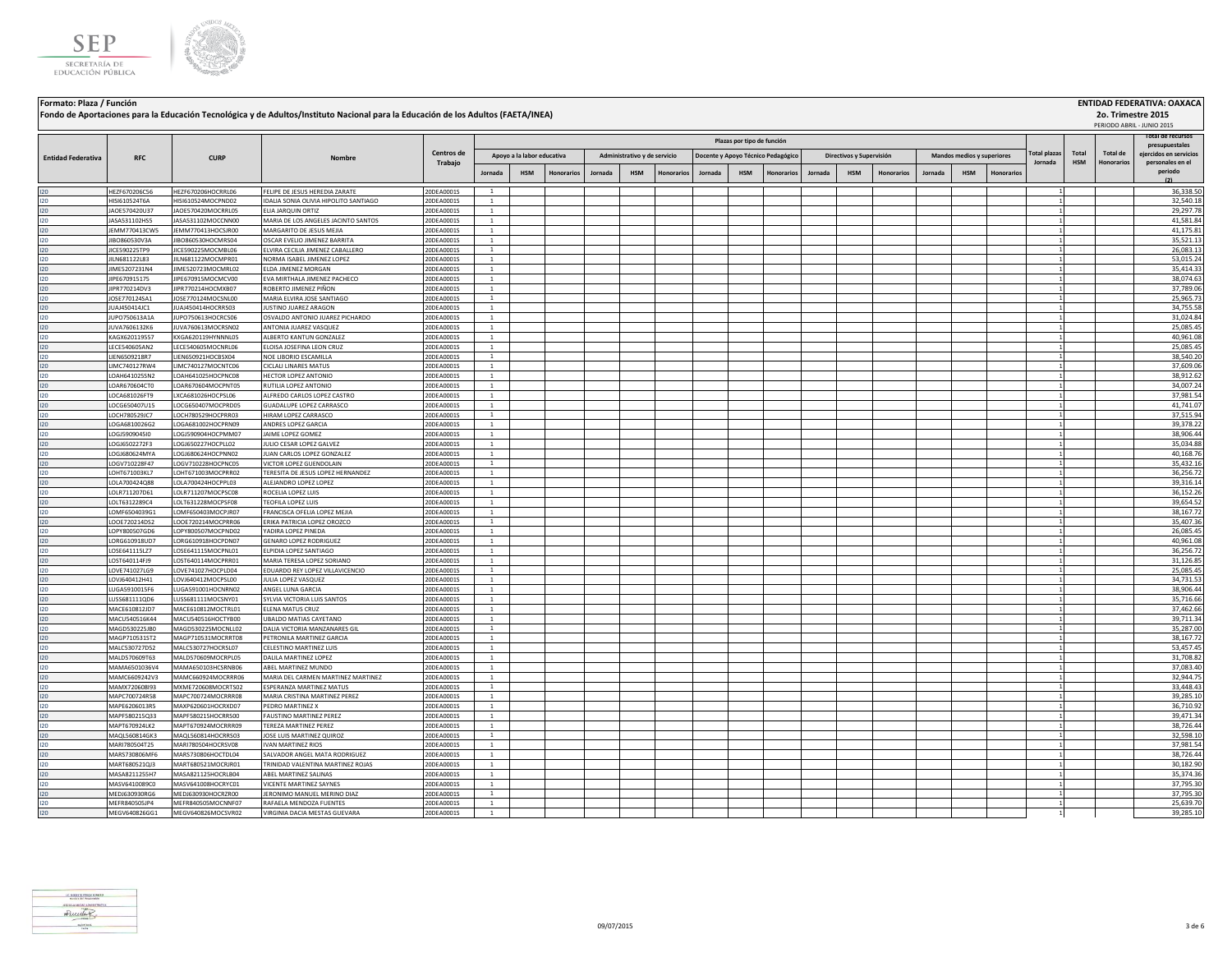



**Fondo de Aportaciones para la Educación Tecnológica y de Adultos/Instituto Nacional para la Educación de los Adultos (FAETA/INEA)**

# **Jornada HSM Honorarios Jornada HSM Honorarios Jornada HSM Honorarios Jornada HSM Honorarios Jornada HSM Honorarios Total HSM Total de Honorarios Administrativo y de servicio Docente y Apoyo Técnico Pedagógico Directivos y Supervisión Mandos medios y superiores Plazas por tipo de función Total plazas Jornada** PERIODO ABRIL - JUNIO 2015 **RFC CURP Nombre Entidad Federativa RFC CURP CURP CENTROS <b>CENTROS CONS Trabajo Total de recursos presupuestales ejercidos en servicios personales en el periodo (2) Apoyo a la labor educativa** I20 HEZF670206C56 HEZF670206HOCRRL06 FELIPE DE JESUS HEREDIA ZARATE 20DEA0001S 1 1 36,338.50 I20 HISI610524T6A HISI610524MOCPND02 IDALIA SONIA OLIVIA HIPOLITO SANTIAGO 20DEA0001S 1 1 32,540.18 I20 JAOE570420U37 JAOE570420MOCRRL05 ELIA JARQUIN ORTIZ 20DEA0001S 1 1 29,297.78 I20 JASA531102HS5 JASA531102MOCCNN00 MARIA DE LOS ANGELES JACINTO SANTOS 20DEA0001S 1 1 41,581.84 I20 JEMM770413CW5 JEMM770413HOCSJR00 MARGARITO DE JESUS MEJIA 20DEA0001S 1 1 41,175.81 I20 JIBO860530V3A JIBO860530HOCMRS04 OSCAR EVELIO JIMENEZ BARRITA 20DEA0001S 1 1 35,521.13 I20 JICE590225TP9 JICE590225MOCMBL06 ELVIRA CECILIA JIMENEZ CABALLERO 20DEA0001S 1 1 26,083.13 I20 JILN681122L83 JILN681122MOCMPR01 NORMA ISABEL JIMENEZ LOPEZ 20DEA0001S 1 | | | | | | | | | | | | | | | | 53,015.24 I20 JIME5207231N4 JIME520723MOCMRL02 ELDA JIMENEZ MORGAN 20DEA0001S 1 1 3 35,414.33 I20 JIPE670915175 JIPE670915MOCMCV00 EVA MIRTHALA JIMENEZ PACHECO 20DEA0001S 1 1 38,074.63 I20 JIPR770214DV3 JIPR770214HOCMXB07 ROBERTO JIMENEZ PIÑON 20DEA0001S 1 1 37,789.06 I20 JOSE770124SA1 JOSE770124MOCSNL00 MARIA ELVIRA JOSE SANTIAGO 20DEA0001S 1 1 25,965.73 I20 JUAJ450414JC1 JUAJ450414HOCRRS03 JUSTINOJUAREZ ARAGON 20DEA0001S 1 | | | | | | | | | | | | | | | | | 34,755.58 I20 JUPO750613A1A JUPO750613HOCRCS06 OSVALDO ANTONIO JUAREZ PICHARDO 20DEA0001S 1 1 31,024.84 I20 JUVA7606132K6 JUVA760613MOCRSN02 ANTONIA JUAREZ VASQUEZ 20DEA0001S 1 1 25,085.45 I20 KAGX620119557 KXGA620119HYNNNL05 ALBERTO KANTUN GONZALEZ 20DEA0001S 1 1 40,961.08 I20 LECE540605AN2 LECE540605MOCNRL06 |ELOISA JOSEFINA LEON CRUZ 20DEA0001S 1 | | | | | | | | | | | | | | | | 25,085.45 I20 LIEN6509218R7 LIEN650921HOCBSX04 NOELIBORIO ESCAMILLA 20DEA0001S 1 | | | | | | | | | | | | | | | | | 38,540.20 I20 LIMC740127RW4 LIMC740127MOCNTC06 CICLALI LINARES MATUS 20DEA0001S 1 2 37,609.06 20DEA0001S 1 3 37,609.06 20 I20 LOAH641025SN2 LOAH641025HOCPNC08 HECTOR LOPEZ ANTONIO 20DEA0001S 1 1 3 36,912.62 20DEA0001S 1 38,912.62 20DEA0001S 1 38,912.62 20DEA0001S 200EA0001S 200EA0001S 200EA0001S 200EA0001S 200EA0001S 200EA0001S 200EA0001S 200 I20 **LOAR670604CT0 LOAR670604MOCPNT05 RUTILIA**LOPEZ ANTONIO 20DEA0001S 1 | | | | | | | | | | | | | | | | | 34,007.24 I20 **LOCA681026FT9 LXCA681026HOCPSL06 ALFREDO CARLOS LOPEZ CASTRO 200**2 20DEA0001S 1 1 1 1 1 1 1 1 1 1 1 1 1 1 1 37,981.54 I20 LOCG650407U15 LOCG650407MOCPRD05 GUADALUPE LOPEZ CARRASCO 20DEA0001S 1 1 41,741.07 I20 LOCH780529JC7 LOCH780529HOCPRR03 HIRAM LOPEZ CARRASCO 20DEA0001S 1 1 37,515.94 I20 LOGA6810026G2 LOGA681002HOCPRN09 ANDRES LOPEZ GARCIA 20DEA0001S 1 1 39,378.22 I20 LOGJ5909045I0 LOGJ590904HOCPMM07 JAIME LOPEZ GOMEZ 20DEA0001S 1 1 38,906.44 I20 LOGJ6502272F3 LOGJ650227HOCPLL02 JULIO CESAR LOPEZ GALVEZ 20DEA0001S 1 1 35,034.88 I20 LOGJ680624MYA LOGJ680624HOCPNN02 JUAN CARLOS LOPEZ GONZALEZ 20DEA0001S 1 1 40,168.76 I20 LOGV710228F47 LOGV710228HOCPNC05 VICTOR LOPEZ GUENDOLAIN 20DEA0001S 1 1 35,432.16 I20 LOHT671003KL7 LOHT671003MOCPRR02 TERESITA DE JESUS LOPEZ HERNANDEZ 20DEA0001S 1 1 36,256.72 I20 LOLA700424Q88 LOLA700424HOCPPL03 ALEJANDRO LOPEZ LOPEZ 20DEA0001S 1 1 39,316.14 I20 LOLR711207D61 LOLR711207MOCPSC08 ROCELIA LOPEZ LUIS 20DEA0001S 1 1 36,152.26 I20 LOLT6312289C4 LOLT631228MOCPSF08 TEOFILA LOPEZ LUIS 20DEA0001S 1 1 39,654.52 I20 LOMF6504039G1 LOMF6504033MOCPJR07 FRANCISCA OFELIALOPEZ MEJIA 20DEA0001S 1 1 1 3 30.1 39,167.72 I20 LOOE720214DS2 LOOE720214MOCPRR06 ERIKA PATRICIA LOPEZ OROZCO 20DEA0001S 1 1 35,407.36 I20 **LOPY800507GD6 LOPY800507MOCPND02 YADIRALOPEZ PINEDA 20DEA00015 1 | | | | | | | | | | | | | | | | 26,085.45** I20 LORG610918UD7 LORG610918HOCPDN07 GENARO LOPEZ RODRIGUEZ 20DEA0001S 1 1 40,961.08 I20 LOSE641115LZ7 LOSE641115MOCPNL01 ELPIDIA LOPEZ SANTIAGO 20DEA0001S 1 1 36,256.72 I20 **LOST640114FJ9 LOST640114MOCPRR01 |MARIATERESA LOPEZ SORIANO 20DEA0001S 1 | | | | | | | | | | | | | | | | | 31,126.85** I20 LOVE741027LG9 LOVE741027HOCPLD04 EDUARDO REYLOPEZ VILLAVICENCIO 20DEA0001S 1 1 1 2 20DEA0001S 1 2 20DEA0001 I20 LOVJ640412H41 LOVJ640412MOCPSL00 JULIA LOPEZ VASQUEZ 20DEA0001S 1 1 34,731.53 I20 **LUGA5910015F6 LUGA591001HOCNRN02 |ANGEL LUNA GARCIA 20DEA00015 1 | | | | | | | | | | | | | | | | | 38,906.44** I20 LUSS681111QD6 LUSS681111MOCSNY01 SYLVIA VICTORIA LUIS SANTOS 20DEA0001S 1 1 35,716.66 I20 MACE610812JD7 MACE610812MOCTRL01 ELENA MATUS CRUZ 20DEA0001S 1 | | | | | | | | | | | | | | | | 1 | 37,462.66 I20 MACU540516K44 MACU540516HOCTYB00 UBALDO MATIAS CAYETANO 20DEA0001S 20DEA0001S 1 2 39,711.34 20DEA0001 20DEA0001S 20DEA0001S 20DEA0001 20DEA0001 20DEA00015 20DEA00015 20DEA0001 20DEA00015 20 20 20 20 20 20 20 20 20 20 2 I20 MAGD530225JB0 MAGD530225MOCNLL02 DALIA VICTORIA MANZANARES GIL 20DEA0001S 1 1 35,287.00 I20 MAGP710531ST2 MAGP710531MOCRRT08 PETRONILA MARTINEZ GARCIA 20DEA0001S 1 | | | | | | | | | | | | | | | | | 38,167.72 I20 MALC530727D52 MALC530727HOCRSL07 CELESTINO MARTINEZ LUIS 20DEA0001S 1 1 53,457.45 I20 MALD570609T63 MALD570609MOCRPL05 DALILA MARTINEZ LOPEZ 20DEA0001S 1 1 31,708.82 I20 MAMA6501036V4 MAMA650103HCSRNB06 ABEL MARTINEZ MUNDO 20DEA0001S 1 1 37,083.40 I20 MAMC6609242V3 MAMC660924MOCRRR06 MARIA DEL CARMEN MARTINEZ MARTINEZ 20DEA0001S 1 1 32,944.75 I20 MAMX720608I93 MXME720608I93 MXME720608MOCRTS02 ESPERANZA MARTINEZ MATUS 20DEA0001S 1 1 1 3 33,448.43 ANXi I20 MAPC700724R58 MAPC700724MOCRRR08 MARIA CRISTINA MARTINEZ PEREZ 20DEA0001S 1 1 39,285.10 I20 MAPE6206013R5 MAXP620601HOCRXD07 PEDRO MARTINEZ X 20DEA0001S 1 1 36,710.92 I20 MAPF580215Q33 MAPF580215HOCRRS00 FAUSTINO MARTINEZ PEREZ 20DEA0001S 1 1 39,471.34 I20 MAPT670924LK2 MAPT670924LK2 MAPT670924MOCRRR09 TEREZA MARTINEZ PEREZ 20DEA0001S 1 2 30.000 200EA0001S 1 3 39,726.44 I20 MAQL560814GK3 MAQL560814HOCRRS03 JOSE LUIS MARTINEZ QUIROZ 2000 2000 2000EA0001S 1 1 1 3 32,598.10 32,598.10 32,598.10 32,598.10 32,598.10 32,598.10 32,598.10 32,598.10 32,598.10 32,598.10 32,598.10 32,598.10 32,598.10 I20 MARI780504T25 MARI780504HOCRSV08 IVAN MARTINEZ RIOS 20DEA0001S 1 1 37,981.54 I20 MARS730806MF6 MARS730806HOCTDL04 SALVADOR ANGEL MATA RODRIGUEZ 20DEA0001S 1 1 38,726.44 I20 MART680521QJ3 MART680521MOCRJR01 TRINIDAD VALENTINA MARTINEZ ROJAS 20DEA0001S 1 1 30,182.90 I20 MASA8211255H7 MASA821125HOCRLB04 ABEL MARTINEZ SALINAS 20DEA0001S 1 1 35,374.36 I20 MASV6410089C0 MASV641008HOCRYC01 VICENTE MARTINEZ SAYNES 20DEA0001S 1 1 37,795.30 I20 MEDJ630930RG6 MEDJ630930HOCRZR00 JERONIMO MANUEL MERINO DIAZ 20DEA0001S 1 1 37,795.30 I20 MEFR840505JP4 MEFR840505MOCNNF07 RAFAELA MENDOZA FUENTES 20DEA0001S 1 1 25,639.70 I20 MEGV640826GG1 MEGV640826MOCSVR02 VIRGINIA DACIA MESTAS GUEVARA 20DEA0001S 1 1 1 3 39,285.10 39,285.10 39,285.10 39,285.10 39,285.10

**Motorcy Angel Hotel**<br>Render del Renovasible Dunche

**Formato: Plaza / Función ENTIDAD FEDERATIVA: OAXACA**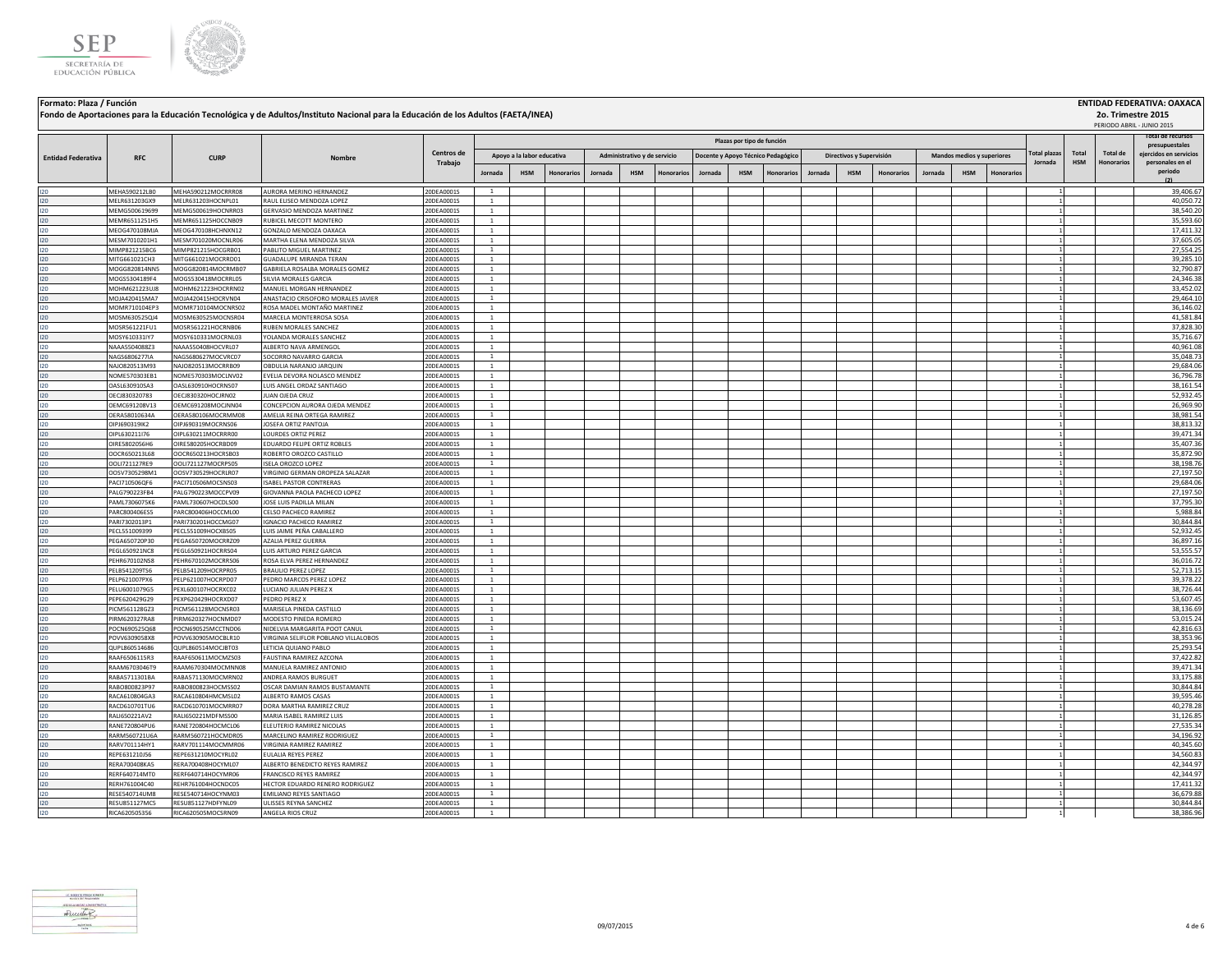



**Fondo de Aportaciones para la Educación Tecnológica y de Adultos/Instituto Nacional para la Educación de los Adultos (FAETA/INEA)**

# **Jornada HSM Honorarios Jornada HSM Honorarios Jornada HSM Honorarios Jornada HSM Honorarios Jornada HSM Honorarios Total HSM Total de Honorarios Administrativo y de servicio Docente y Apoyo Técnico Pedagógico Directivos y Supervisión Mandos medios y superiores Plazas por tipo de función Total plazas Jornada** PERIODO ABRIL - JUNIO 2015 **RFC CURP Nombre Entidad Federativa RFC CURP CURP CENTROS <b>CENTROS CONS Trabajo Total de recursos presupuestales ejercidos en servicios personales en el periodo (2) Apoyo a la labor educativa** I20 MEHA590212LB0 MEHA590212MOCRRR08 AURORA MERINO HERNANDEZ 20DEA0001S 1 1 39,406.67 I20 MELR631203GX9 MELR631203HOCNPL01 RAUL ELISEO MENDOZA LOPEZ 20DEA0001S 1 1 40,050.72 I20 MEMG500619699 MEMG500619HOCNRR03 GERVASIO MENDOZA MARTINEZ 20DEA0001S 1 1 38,540.20 I20 MEMR6511251H5 MEMR651125HOCCNB09 RUBICEL MECOTT MONTERO 20DEA0001S 1 1 35,593.60 I20 MEOG470108MJA MEOG470108HCHNXN12 GONZALO MENDOZA OAXACA 20DEA0001S 1 1 17,411.32 I20 MESM7010201H1 MESM701020MOCNLR06 MARTHA ELENA MENDOZA SILVA 20DEA0001S 1 1 1 3 37,605.05 37 37,605.05 1 20 I20 MIMP821215BC6 MIMP821215HOCGRB01 PABLITO.MIGUEL.MARTINEZ 20DEA0001S 1 2 2000 2005 2000 2005 2000 2005 2006 201 201 201 201 201 201 27,554.25 I20 MITG661021CH3 MITG661021MOCRRD01 GUADALUPE\_MIRANDATERAN 20DEA0001S 1 2 39,285.10 20DEA0001S 20DEA0001S 20DEA0001S 20DEA0001S 20DEA0001 20DEA0001 20DEA0001 20DEA0001S 20DEA0001 20DEA00015 20DEA00015 20DEA00015 20DEA0001 I20 MOGG820814NN5 MOGG820814MOCRMB07 GABRIELA ROSALBA MORALES GOMEZ 20DEA0001S 1 1 1 3 32,790.87 33,790.87 32,790.87 I20 MOGS5304189F4 MOGS530418MOCRRL05 SILVIAMORALES GARCIA 20DEA0001S 1 2 2001 20DEA0001S 20DEA0001S 20DEA0001S I20 MOHM621223UJ8 MOHM621223HOCRRN02 MANUEL MORGAN HERNANDEZ 20DEA0001S 1 1 33,452.02 I20 MOJA420415MA7 MOJA420415HOCRVN04 ANASTACIO CRISOFORO MORALES JAVIER 20DEA0001S 1 2 29,464.10 20 20 20 20 21 I20 MOMR710104EP3 MOMR710104MOCNRS02 ROSA MADEL MONTAÑO MARTINEZ 20DEA0001S 1 1 36,146.02 I20 MOSM630525QJ4 MOSM630525MOCNSR04 MARCELA MONTERROSA SOSA 20DEA0001S 1 1 41,581.84 I20 MOSR561221FU1 MOSR561221HOCRNB06 RUBEN MORALES SANCHEZ 20DEA0001S 1 2 37,828.30 20DEA0001S 20DEA0001S 20DEA0001S 20DEA00015 20DEA00015 20DEA00015 20DEA00015 20DEA00015 20DEA00015 20DEA00015 20DEA00015 20DEA00015 20DEA0 I20 MOSY610331IY7 MOSY610331MOCRNL03 YOLANDA MORALES SANCHEZ 20DEA0001S 1 1 35,716.67 I20 NAAA5504088Z3 NAAA550408HOCVRL07 ALBERTO NAVA ARMENGOL 20DEA0001S 1 1 40,961.08 I20 NAGS6806277IA NAGS680627MOCVRC07 SOCORRO NAVARRO GARCIA 20DEA0001S 1 1 35,048.73 I20 NAJO820513M93 NAJO820513MOCRRB09 OBDULIA NARANJO JARQUIN 20DEA0001S 1 1 29,684.06 I20 NOME570303EB1 NOME570303MOCLNV02 EVELIADEVORA NOLASCO MENDEZ 20DEA0001S 1 1 1 1 3 36,796.78 I20 OASL630910SA3 OASL630910HOCRNS07 LUIS ANGEL ORDAZ SANTIAGO 20DEA0001S 1 1 38,161.54 I20 OECJ830320783 OECJ830320HOCJRN02 JUAN OJEDA CRUZ 20DEA0001S 1 1 52,932.45 I20 OEMC691208V13 OEMC691208MOCJNN04 CONCEPCION AURORA OJEDA MENDEZ 20DEA0001S 1 1 26,969.90 I20 OERA58010634A OERA580106MOCRMM08 AMELIA REINA ORTEGA RAMIREZ 20DEA0001S 1 1 38,981.54 I20 OIPJ690319IK2 OIPJ690319MOCRNS06 JOSEFA ORTIZ PANTOJA 20DEA0001S 1 1 38,813.32 I20 OIPL630211I76 OIPL630211MOCRRR00 LOURDES ORTIZ PEREZ 20DEA0001S 1 1 39,471.34 I20 OIRE5802056H6 OIRE580205HOCRBD09 EDUARDO FELIPE ORTIZ ROBLES 20DEA0001S 1 1 35,407.36 I20 OOCR650213L68 OOCR650213HOCRSB03 ROBERTO OROZCO CASTILLO 20DEA0001S 1 1 35,872.90 I20 OOLI721127RE9 OOLI721127MOCRPS05 ISELA OROZCO LOPEZ 20DEA0001S 1 1 38,198.76 I20 OOSV7305298M1 OOSV730529HOCRLR07 VIRGINIO GERMAN OROPEZA SALAZAR 20DEA0001S 1 1 27,197.50 I20 PACI710506QF6 PACI710506MOCSNS03 ISABEL PASTOR CONTRERAS 20DEA0001S 1 1 29,684.06 I20 PALG790223FB4 PALG790223MOCCPV09 GIOVANNA PAOLA PACHECO LOPEZ 20DEA0001S 1 1 27,197.50 I20 PAML7306075K6 PAML730607HOCDLS00 JOSELUIS PADILLA MILAN 20DEA0001S 1 | | | | | | | | | | | | | | | | | 37,795.30 I20 PARC800406ES5 PARC800406HOCCML00 CELSO PACHECO RAMIREZ 20DEA0001S 1 1 5,988.84 I20 PARI7302013P1 PARI730201HOCCMG07 |IGNACIO PACHECO RAMIREZ 20DEA0001S 1 | | | | | | | | | | | | | | | | | 30,844.84 I20 PECL551009399 PECL551009HOCXBS05 LUIS JAIME PEÑA CABALLERO 20DEA0001S 1 | | | | | | | | | | | | | | | | | 52,932.45 I20 PEGA650720P30 PEGA650720MOCRRZ09 AZALIA PEREZ GUERRA 20DEA0001S 1 1 36,897.16 I20 PEGL650921NC8 PEGL650921HOCRRS04 LUIS ARTURO PEREZ GARCIA 20DEA0001S 1 | | | | | | | | | | | | | | | | | 53,555.57 I20 PEHR670102NS8 PEHR670102MOCRRS06 ROSA ELVA PEREZ HERNANDEZ 20DEA0001S 1 | | | | | | | | | | | | | | | | 36,016.72 I20 PELB541209TS6 PELB541209HOCRPR05 BRAULIO PEREZ LOPEZ 20DEA0001S 1 1 1 1 1 1 1 1 1 1 1 1 1 1 1 52,713.15 I20 PELP621007PX6 PELP621007HOCRPD07 PEDRO MARCOS PEREZ LOPEZ 20DEA0001S 1 2 39,378.22 20DEA0001S 1 2 39,378.22 I20 PELU6001079G5 PEXL600107HOCRXC02 LUCIANO JULIAN PEREZ X 20DEA0001S 1 | | | | | | | | | | | | | | | | | 38,726.44 I20 PEPE620429G29 PEXP620429HOCRXD07 PEDRO PEREZ X 20DEA0001S 1 1 53,607.45 I20 PICM561128GZ3 PICM561128MOCNSR03 MARISELA PINEDA CASTILLO 20DEA0001S 1 1 38,136.69 I20 PIRM620327RA8 PIRM620327HOCNMD07 |MODESTO PINEDA ROMERO 2002-A0001S | 1 | | | | | | | | | | | | | | | | 53,015.24 I20 POCN690525Q68 POCN690525MCCTND06 NIDELVIA MARGARITA POOT CANUL 20DEA0001S 1 1 42,816.63 POVV6309058X8 POVV630905MOCBLR10 VIRGINIA SELIFLOR POBLANO VILLALOBOS 20DEA0001S 1<br>QUPL860514686 QUPL860514MOCIBT03 LETICIA QUIJANO PABLO 200EA0001S 1 20DEA0001S 1 200EA0001S 1 200EA0001S 1 25,293.54 I20 QUPL860514686 QUPL860514MOCJBT03 LETICIA QUIJANO PABLO 20DEA0001S 1 1 1 1 1 2 20DEA0001S 1 2 200 200 200 2 I20 RAAF6506115R3 RAAF650611MOCMZS03 |FAUSTINA RAMIREZ AZCONA 200EA0001S 1 | | | | | | | | | | | | | | | | | 37,422.82 I20 RAAM6703046T9 RAAM670304MOCMNN08 MANUELA RAMIREZ ANTONIO 20DEA0001S 1 1 1 1 1 1 1 1 1 1 1 1 1 39,471.34 I20 RABA5711301BA RABA571130MOCMRN02 ANDREA RAMOS BURGUET 20DEA0001S 1 1 33,175.88 I20 RABO800823P97 RABO800823HOCMSS02 OSCAR DAMIAN RAMOS BUSTAMANTE 20DEA0001S 1 1 30,844.84 I20 RACA610804GA3 RACA610804HMCMSL02 ALBERTO RAMOS CASAS 20DEA0001S 1 1 39,595.46 I20 RACD610701TU6 RACD610701MOCMRR07 DORA MARTHA RAMIREZ CRUZ 20DEA0001S 1 1 40,278.28 I20 RALI650221AV2 RALI650221MDFMSS00 MARIA ISABEL RAMIREZ LUIS 20DEA0001S 1 | | | | | | | | | | | | | | | | | 31,126.85 I20 RANE720804PU6 RANE720804HOCMCL06 ELEUTERIO.RAMIREZ.NICOLAS 20DEA0001S 1 | | | | | | | | | | | | | | | | 27,535.34 I20 RARM560721U6A RARM560721HOCMDR05 MARCELINO RAMIREZ RODRIGUEZ 20DEA0001S 1 1 34,196.92 I20 RARV701114HY1 RARV701114MOCMMR06 VIRGINIA RAMIREZ RAMIREZ 20DEA0001S 1 1 40,345.60 I20 REPE631210J56 REPE631210MOCYRL02 EULALIA REYES PEREZ 20DEA0001S 1 1 34,560.83 I20 RERA700408KA5 RERA700408HOCYML07 ALBERTO BENEDICTO REYES RAMIREZ 20DEA0001S 1 1 42,344.97 I20 RERF640714MT0 RERF640714HOCYMR06 FRANCISCO REYES RAMIREZ 20DEA0001S 1 1 42,344.97 I20 RERH761004C40 REHR761004HOCNDC05 HECTOR EDUARDO RENERO RODRIGUEZ 20DEA0001S 1 1 17,411.32 I20 RESES40714UM8 RESES40714HOCYNM03 [EMILIANO REYES SANTIAGO 2000 20DEA0001S 1 ] ] ] ] ] ] ] ] ] ] ] ] 36,679.88 I20 RESU851127MC5 RESU851127HDFYNL09 ULISSES<code>REYNA SANCHEZ 20DEA0001S 1 |</sup> | | | | | | | | | | | | | | | | 30,844.84</code> I20 RICA620505356 RICA620505MOCSRN09 ANGELA RIOS CRUZ 20DEA0001S 1 1 38,386.96

**Motorcy Angel Hotel**<br>Render del Renovasible Dunche

**Formato: Plaza / Función ENTIDAD FEDERATIVA: OAXACA**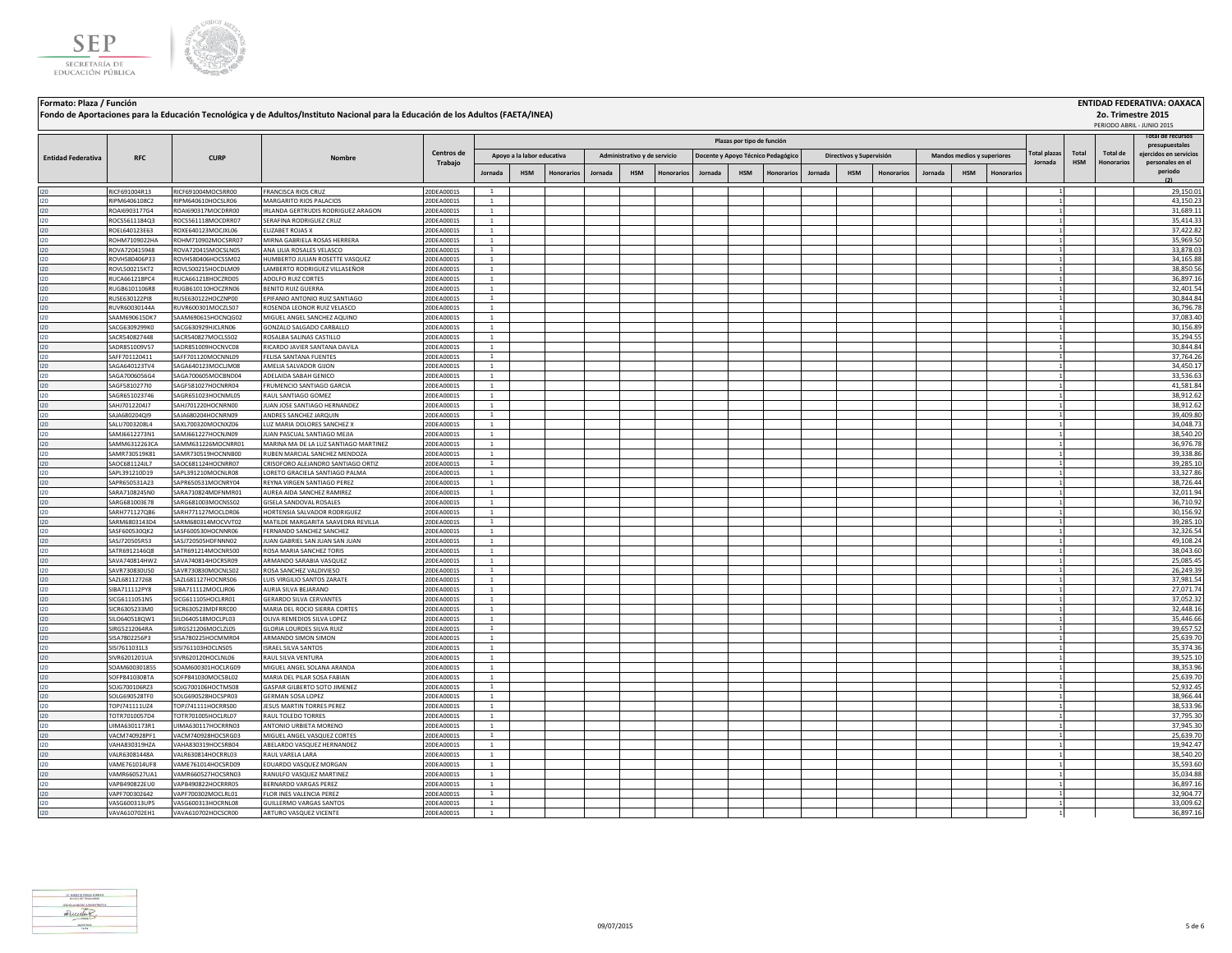



**Formato: Plaza / Función ENTIDAD FEDERATIVA: OAXACA**

| Fondo de Aportaciones para la Educación Tecnológica y de Adultos/Instituto Nacional para la Educación de los Adultos (FAETA/INEA) |  |
|-----------------------------------------------------------------------------------------------------------------------------------|--|
|-----------------------------------------------------------------------------------------------------------------------------------|--|

# **Jornada HSM Honorarios Jornada HSM Honorarios Jornada HSM Honorarios Jornada HSM Honorarios Jornada HSM Honorarios Total HSM Total de Honorarios Administrativo y de servicio Docente y Apoyo Técnico Pedagógico Directivos y Supervisión Mandos medios y superiores Plazas por tipo de función Total plazas Jornada** PERIODO ABRIL - JUNIO 2015 **RFC CURP Nombre Entidad Federativa RFC CURP CORP RECURP <b>CONS Trabajo Total de recursos presupuestales ejercidos en servicios personales en el periodo (2) Apoyo a la labor educativa** I20 RICF691004R13 RICF691004MOCSRR00 FRANCISCA RIOS CRUZ 200EA0001S 1 2 200AO001S 20DEA0001S 200BEA0001S 20,150.01 I20 RIPM6406108C2 RIPM640610HOCSLR06 MARGARITORIOS 2002-2002-0001S 1 2 20DEA0001S 1 2 2 20DEA0001S 20DEA0001S 20DEA0001S 20DEA00015 20DEA00015 20DEA00015 20DEA00015 20DEA00015 20DEA00015 20DEA00015 20DEA00015 2 2 2 2 2 2 2 I20 ROAI6903177G4 ROAI690317MOCDRR00 IRLANDA GERTRUDIS RODRIGUEZ ARAGON 20DEA0001S 1 1 31,689.11 I20 ROCS5611184Q3 ROCS561118MOCDRR07 SERAFINA(RODRIGUEZ CRUZ 20DEA0001S 1 2 1 1 2 35,414.33 I20 ROEL640123E63 ROXE640123MOCJXL06 ELIZABET ROJAS 20DEA0001S 1 | | | | | | | | | | | | | | | | 1 | 37,422.82 I20 ROHM7109022HA ROHM710902MOCSRR07 MIRNA GABRIELA ROSAS HERRERA 20DEA0001S 1 1 35,969.50 I20 ROVA720415948 ROVA720415MOCSLN05 ANA LILIA ROSALES VELASCO 20DEA0001S 1 | | | | | | | | | | | | | | | | | 33,878.03 I20 ROVH580406P33 ROVH580406HOCSSM02 HUMBERTO JULIAN ROSETTE VASQUEZ 20DEA0001S 1 1 34,165.88 I20 ROVL500215KT2 ROVL500215HOCDLM09 LAMBERTO RODRIGUEZ VILLASEÑOR 20DEA0001S 1 1 38,850.56 I20 RUCA661218PC4 RUCA661218HOCZRD05 ADOLFO RUIZ CORTES 20DEA0001S 1 | | | | | | | | | | | | | | | 1 | 36,897.16 I20 RUGB6101106R8 RUGB610110HOCZRN06 BENITO RUIZ GUERRA 20DEA0001S 1 1 32,401.54 I20 RUSE630122PI8 RUSE630122HOCZNP00 EPIFANIO ANTONIO RUIZ SANTIAGO 20DEA0001S 1 1 30,844.84 I20 RUVR60030144A RUVR600301MOCZLS07 ROSENDA LEONOR RUIZ VELASCO 20DEA0001S 1 | | | | | | | | | | | | | | | | | I20 SAAM690615DK7 SAAM690615HOCNQG02 MIGUEL ANGEL SANCHEZ AQUINO 20DEA0001S 1 1 37,083.40 I20 SACG6309299K0 SACG630929HJCLRN06 GONZALO SALGADO CARBALLO 20DEA0001S 1 1 30,156.89 I20 SACR540827448 SACR540827MOCLSS02 ROSALBA SALINAS CASTILLO 20DEA0001S 1 1 35,294.55 I20 SADR851009V57 SADR851009HOCNVC08 RICARDO\_JAVIER\_SANTANA\_DAVILA 20DEA0001S 1 | | | | | | | | | | | | | | | | | 30,844.84 I20 SAFF701120411 SAFF701120MOCNNL09 FELISA.SANTANA.FUENTES 20DEA0001S 1 | | | | | | | | | | | | | | | | | 37,764.26 I20 SAGA640123TV4 SAGA640123MOCLJM08 AMELIA SALVADOR GIJON 20DEA0001S 1 1 34,450.17 I20 SAGA7006056G4 SAGA700605MOCBND04 ADELAIDA SABAH GENICO 20DEA0001S 1 1 1 1 1 30 1 1 1 1 33,536.63 I20 SAGF5810277I0 SAGF581027HOCNRR04 FRUMENCIO SANTIAGO GARCIA 20DEA0001S 1 1 41,581.84 I20 SAGR651023746 SAGR651023HOCNML05 RAUL SANTIAGO GOMEZ 20DEA0001S 1 1 38,912.62 I20 SAHJ7012204J7 SAHJ701220HOCNRN00 JUAN JOSE SANTIAGO HERNANDEZ 20DEA0001S 1 1 3 30.912.62 39.912.62 39.912.62 I20 SAJA680204QI9 SAJA680204HOCNRN09 |ANDRES SANCHEZ JARQUIN 20DEA0001S | 1 | | | | | | | | | | | | | | | | 39,409.80 I20 SALU7003208L4 SAXL700320MOCNXZ06 LUZ MARIA DOLORES SANCHEZ X 20DEA0001S 1 | | | | | | | | | | | | | | | | | I20 SAMJ6612273N1 SAMJ661227HOCNJN09 JUAN PASCUAL SANTIAGO MEJIA 20DEA0001S 1 1 3 30.540.20 39.540.20 39.540.20 I20 SAMM6312263CA SAMM631226MOCNRR01 MARINA MA DE LA LUZ SANTIAGO MARTINEZ 20DEA0001S 1 1 36,976.78 I20 SAMR730519K81 SAMR730519HOCNNB00 RUBEN MARCIAL SANCHEZ MENDOZA 20DEA0001S 1 1 39,338.86 I20 SAOC681124JL7 SAOC681124HOCNRR07 (CRISOFORO.ALEJANDRO SANTIAGO ORTIZ 20DEA0001S 1 | | | | | | | | | | | | | | | | | 39,285.10 I20 SAPL391210D19 SAPL391210MOCNLR08 LORETO GRACIELA SANTIAGO PALMA 20DEA0001S 1 1 33,327.86 I20 SAPR650531A23 SAPR650531MOCNRY04 REYNA VIRGEN SANTIAGO PEREZ 20DEA0001S 1 2 30,200 3 30,726.44 . 20DEA0001S 1 3 38,726.44 I20 SARA7108245N0 SARA710824MDFNMR01 AUREA AIDA SANCHEZ RAMIREZ 20DEA0001S 1 1 32,011.94 I20 SARG681003E78 SARG681003MOCNSS02 GISELA.SANDOVAL.ROSALES 20DEA0001S 1 | | | | | | | | | | | | | | | | | 36,710.92 I20 SARH771127QB6 SARH771127MOCLDR06 HORTENSIA SALVADOR RODRIGUEZ 20DEA0001S 1 1 30,156.92 I20 SARM6803143D4 SARM680314MOCVVT02 MATILDE MARGARITA SAAVEDRA REVILLA 20DEA0001S 1 1 39,285.10 I20 SASF600530QK2 SASF600530HOCNNR06 FERNANDO SANCHEZ 25ANCHEZ 20DEA0001S 1 2 32,326.54 20DEA0001S 20 200EA0001S 20 32,326.54 I20 SASJ720505R53 SASJ720505HDFNNN02 JUAN GABRIEL SAN JUAN SAN JUAN 20DEA0001S 1 1 49,108.24 I20 SATR6912146Q8 SATR691214MOCNRS00 ROSA MARIA SANCHEZ TORIS 20DEA0001S 1 1 38,043.60 I20 SAVA740814HW2 SAVA740814HOCRSR09 ARMANDO SARABIA VASQUEZ 20DEA0001S 1 1 25,085.45 I20 SAVR730830US0 SAVR730830MOCNLS02 ROSA SANCHEZ VALDIVIESO 20DEA0001S 1 1 1 1 1 20DEA0001S 1 20DEA0001S 1 20 I20 SAZL681127268 SAZL681127HOCNRS06 LUIS VIRGILIO SANTOS ZARATE 20DEA0001S 1 1 37,981.54 I20 SIBA711112PY8 SIBA711112MOCLJR06 AURIA SILVA BEJARANO 20DEA0001S 1 1 27,071.74 I20 SICG6111051N5 SICG611105HOCLRR01 GERARDO SILVA CERVANTES 20DEA0001S 1 | | | | | | | | | | | | | | | | | 37,052.32 I20 SICR6305233M0 SICR630523MDFRRC00 MARIA DEL ROCIO SIERRA CORTES 20DEA0001S 1 1 32,448.16 I20 SILO640518QW1 SILO640518MOCLPL03 OLIVA REMEDIOS SILVA LOPEZ 20DEA0001S 1 1 35,446.66 I20 SIRG5212064RA SIRG521206MOCLZL05 GLORIALOURDES SILVA RUIZ 20DEA0001S 1 2 39,657.52 20DEA0001S 20DEA0001S 20DEA0001S 39,657.52 I20 SISA7802256P3 SISA780225HOCMMR04 ARMANDO SIMON SIMON 20DEA0001S 1 2 20DEA0001S 1 2 25,639.70 I20 SISI7611031L3 SISI761103HOCLNS05 ISRAEL SILVA SANTOS 20DEA0001S 1 1 35,374.36 I20 SIVR6201201UA SIVR620120HOCLNL06 RAUL SILVA VENTURA 20DEA0001S 1 1 39,525.10 I20 SOAM600301855 SOAM600301HOCLRG09 MIGUEL ANGEL SOLANA ARANDA 20DEA0001S 1 1 38,353.96 I20 SOFP841030BTA SOFP841030MOCSBL02 MARIA DEL PILAR SOSA FABIAN 20DEA0001S 1 1 25,639.70 I20 SOJG700106RZ3 SOJG700106HOCTMS08 GASPAR GILBERTO SOTO JIMENEZ 20DEA0001S 1 | | | | | | | | | | | | | | | | | 52,932.45 I20 SOLG690528TF0 SOLG690528HOCSPR03 GERMAN SOSA LOPEZ 20DEA0001S 1 1 38,966.44 I20 TOPJ741111UZ4 TOPJ741111HOCRRS00 JESUS MARTIN TORRES PEREZ 20DEA0001S 1 1 38,533.96 I20 TOTR7010057D4 TOTR701005HOCLRL07 RAUL TOLEDO TORRES 20DEA0001S 1 1 37,795.30 I20 UIMA6301173R1 UIMA630117HOCRRN03 ANTONIO URBIETA MORENO 20DEA0001S 1 1 37,945.30 I20 VACM740928PF1 VACM740928HOCSRG03 MIGUEL ANGEL VASQUEZ CORTES 20DEA0001S 1 1 25,639.70 I20 VAHA830319HZA VAHA830319HOCSRB04 |ABELARDO VASQUEZHERNANDEZ 20DEA0001S 1 | | | | | | | | | | | | | | | | | I20 VALR63081448A VALR630814HOCRRL03 RAUL VARELA LARA 20DEA0001S 1 1 38,540.20 I20 VAME761014UF8 VAME761014HOCSRD09 EDUARDO VASQUEZ MORGAN 20DEA0001S 1 1 35,593.60 I20 VAMR660527UA1 VAMR660527HOCSRN03 RANULFO VASQUEZ MARTINEZ 20DEA0001S 1 1 35,034.88 I20 VAPB490822EU0 VAPB490822HOCRRR05 BERNARDO VARGAS PEREZ 20DEA0001S 1 1 36,897.16 I20 VAPF700302642 VAPF700302MOCLRL01 FLORINES VALENCIA PEREZ 20DEA0001S 1 | | | | | | | | | | | | | | | | | 32,904.77

**Motorcy Angel Hotel**<br>Render del Renovasible Buellet

I20 VASG600313UP5 VASG600313HOCRNL08 GUILLERMO VARGAS SANTOS 20DEA0001S 1 1 33,009.62 I20 VAVA610702EH1 VAVA610702HOCSCR00 ARTURO VASQUEZ VICENTE 20DEA0001S 1 1 36,897.16